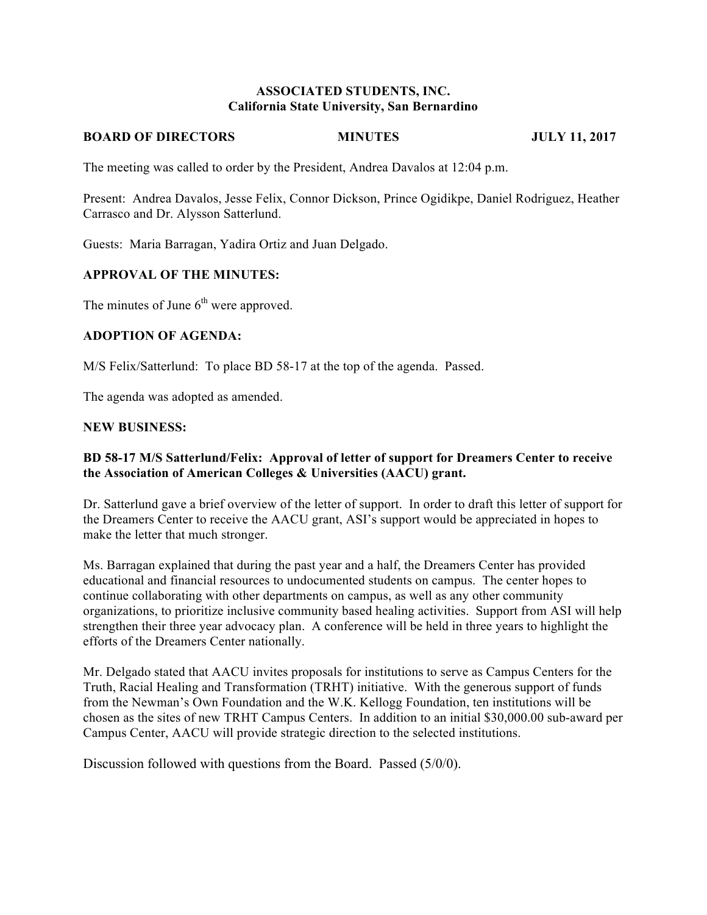### **ASSOCIATED STUDENTS, INC. California State University, San Bernardino**

#### **BOARD OF DIRECTORS MINUTES JULY 11, 2017**

The meeting was called to order by the President, Andrea Davalos at 12:04 p.m.

Present: Andrea Davalos, Jesse Felix, Connor Dickson, Prince Ogidikpe, Daniel Rodriguez, Heather Carrasco and Dr. Alysson Satterlund.

Guests: Maria Barragan, Yadira Ortiz and Juan Delgado.

#### **APPROVAL OF THE MINUTES:**

The minutes of June  $6<sup>th</sup>$  were approved.

#### **ADOPTION OF AGENDA:**

M/S Felix/Satterlund: To place BD 58-17 at the top of the agenda. Passed.

The agenda was adopted as amended.

#### **NEW BUSINESS:**

### **BD 58-17 M/S Satterlund/Felix: Approval of letter of support for Dreamers Center to receive the Association of American Colleges & Universities (AACU) grant.**

Dr. Satterlund gave a brief overview of the letter of support. In order to draft this letter of support for the Dreamers Center to receive the AACU grant, ASI's support would be appreciated in hopes to make the letter that much stronger.

Ms. Barragan explained that during the past year and a half, the Dreamers Center has provided educational and financial resources to undocumented students on campus. The center hopes to continue collaborating with other departments on campus, as well as any other community organizations, to prioritize inclusive community based healing activities. Support from ASI will help strengthen their three year advocacy plan. A conference will be held in three years to highlight the efforts of the Dreamers Center nationally.

Mr. Delgado stated that AACU invites proposals for institutions to serve as Campus Centers for the Truth, Racial Healing and Transformation (TRHT) initiative. With the generous support of funds from the Newman's Own Foundation and the W.K. Kellogg Foundation, ten institutions will be chosen as the sites of new TRHT Campus Centers. In addition to an initial \$30,000.00 sub-award per Campus Center, AACU will provide strategic direction to the selected institutions.

Discussion followed with questions from the Board. Passed (5/0/0).